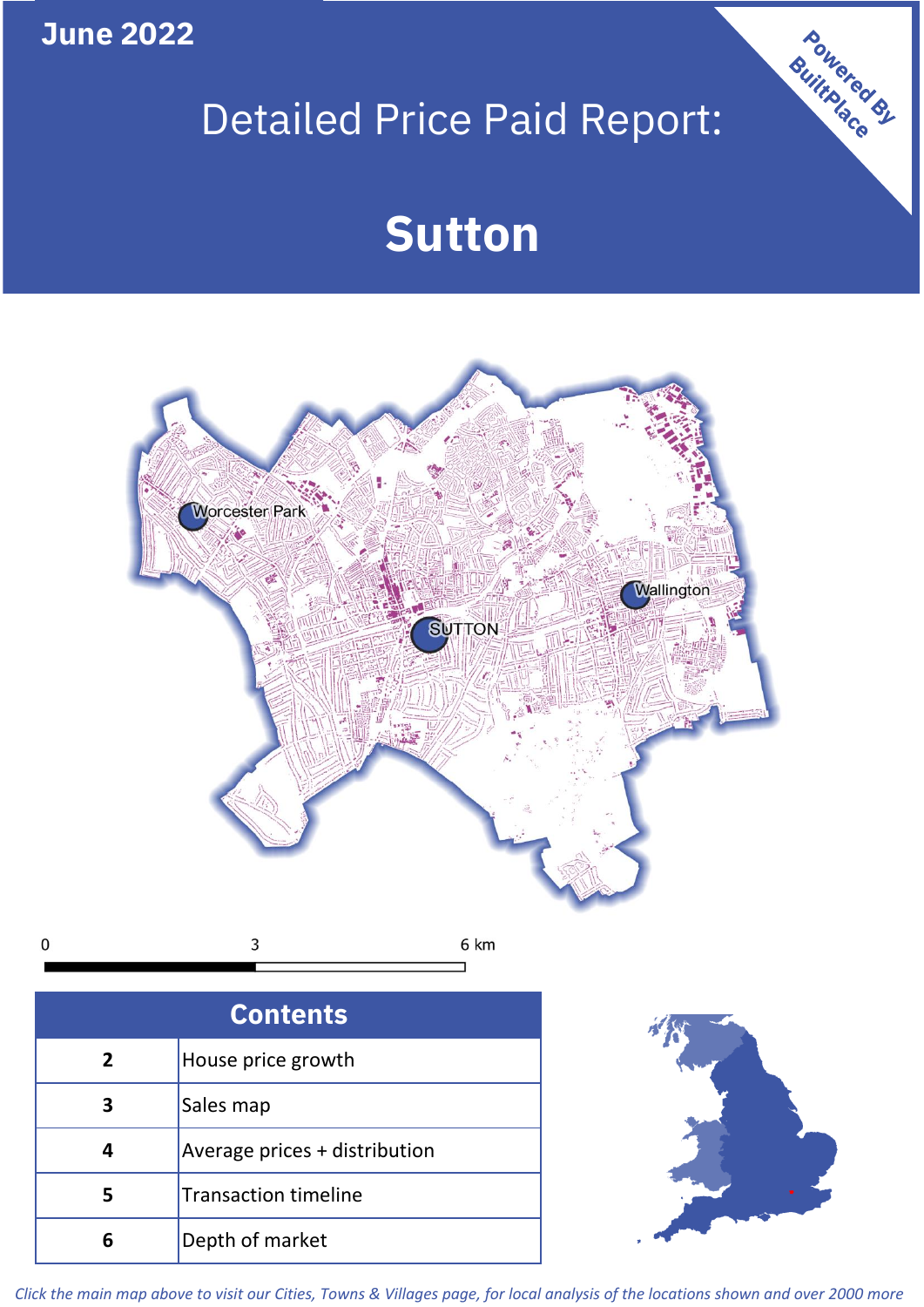**June 2022**

# Detailed Price Paid Report:

# **Sutton**



| <b>Contents</b> |                               |  |  |  |
|-----------------|-------------------------------|--|--|--|
| $\overline{2}$  | House price growth            |  |  |  |
| 3               | Sales map                     |  |  |  |
|                 | Average prices + distribution |  |  |  |
| 5               | <b>Transaction timeline</b>   |  |  |  |
|                 | Depth of market               |  |  |  |



Powered By

*Click the main map above to visit our Cities, Towns & Villages page, for local analysis of the locations shown and over 2000 more*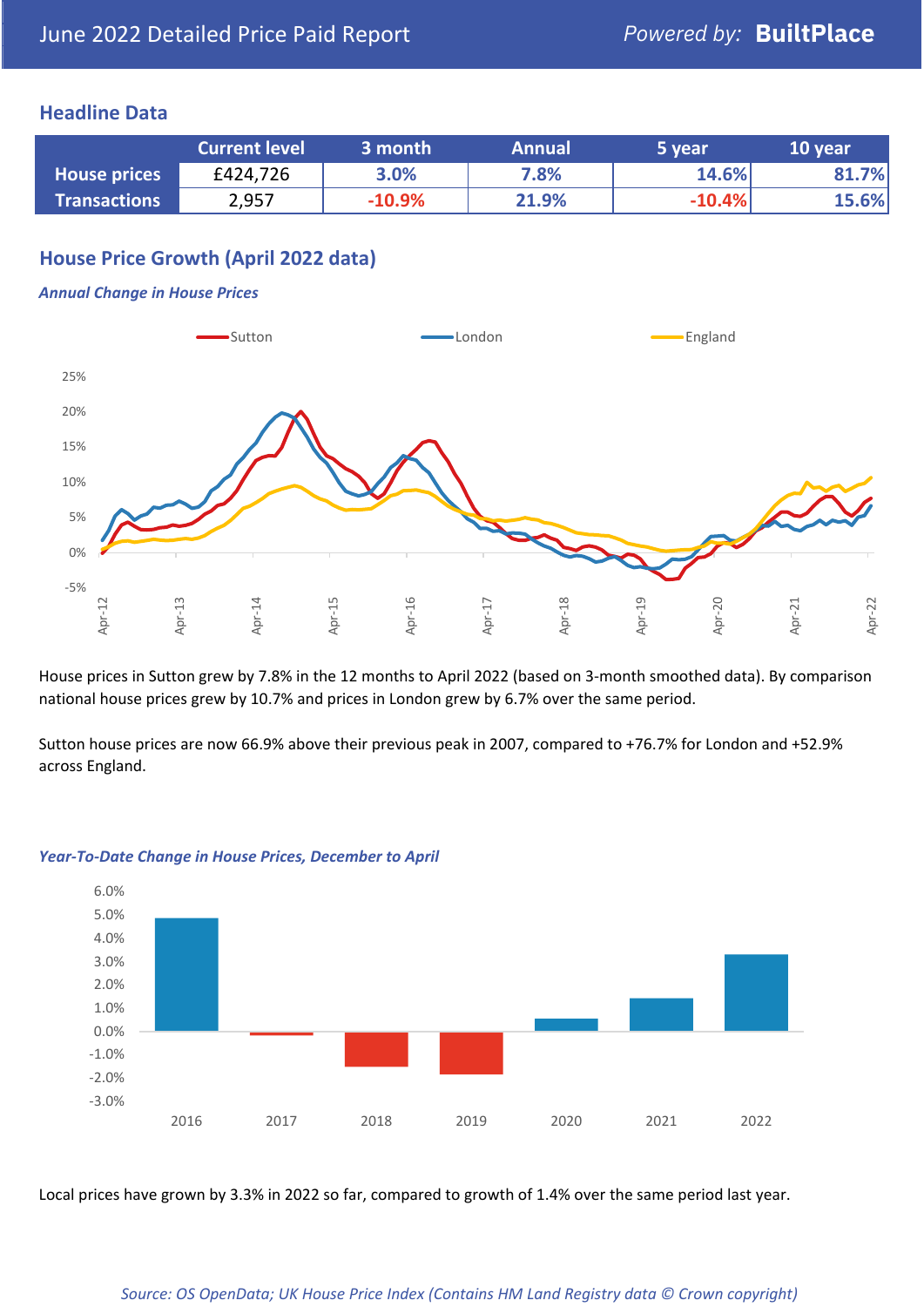### **Headline Data**

|                     | <b>Current level</b> | 3 month  | <b>Annual</b> | 5 year   | 10 year |
|---------------------|----------------------|----------|---------------|----------|---------|
| <b>House prices</b> | £424,726             | 3.0%     | 7.8%          | 14.6%    | 81.7%   |
| <b>Transactions</b> | 2,957                | $-10.9%$ | 21.9%         | $-10.4%$ | 15.6%   |

# **House Price Growth (April 2022 data)**

#### *Annual Change in House Prices*



House prices in Sutton grew by 7.8% in the 12 months to April 2022 (based on 3-month smoothed data). By comparison national house prices grew by 10.7% and prices in London grew by 6.7% over the same period.

Sutton house prices are now 66.9% above their previous peak in 2007, compared to +76.7% for London and +52.9% across England.



#### *Year-To-Date Change in House Prices, December to April*

Local prices have grown by 3.3% in 2022 so far, compared to growth of 1.4% over the same period last year.

#### *Source: OS OpenData; UK House Price Index (Contains HM Land Registry data © Crown copyright)*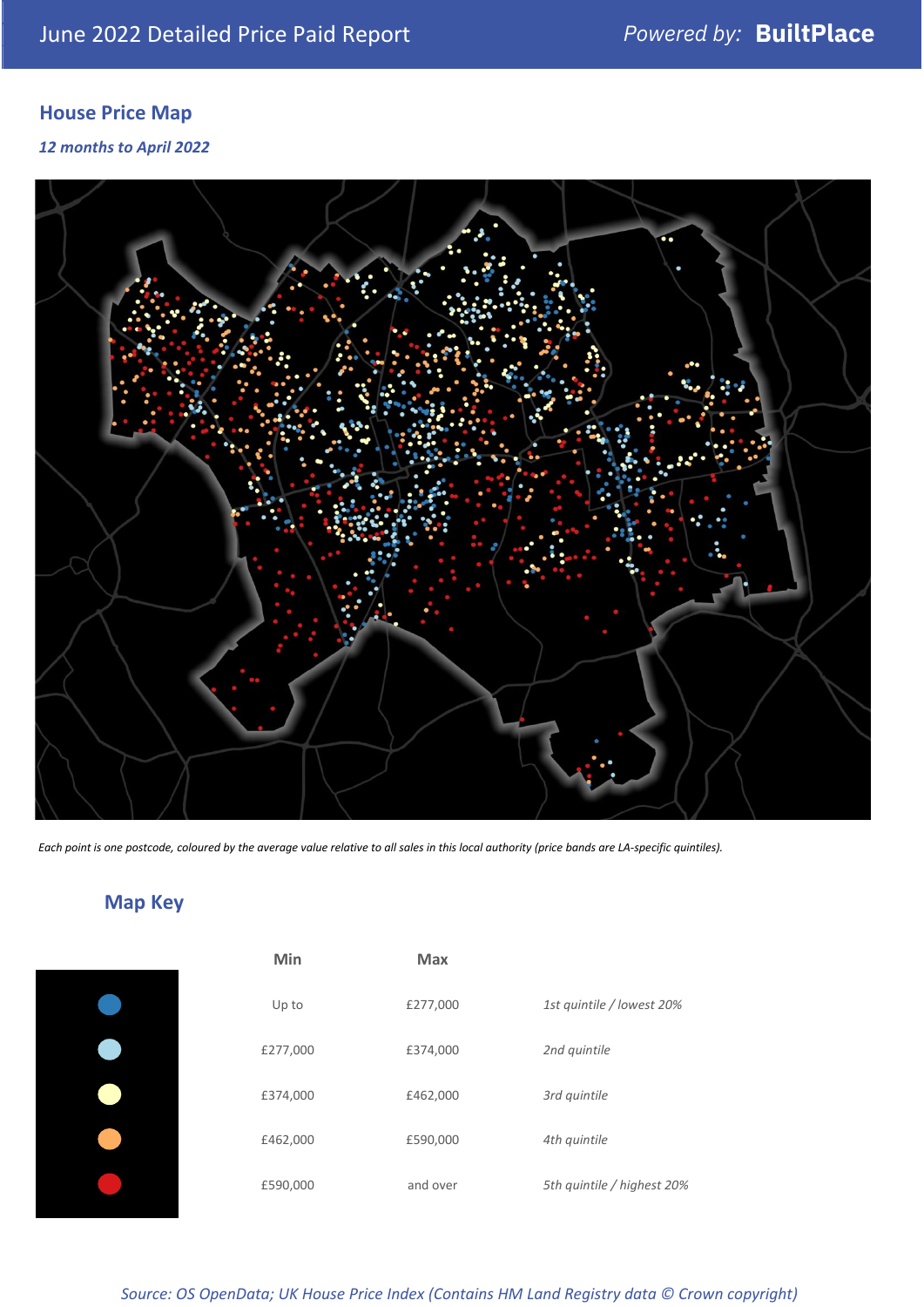# **House Price Map**

*12 months to April 2022*



*Each point is one postcode, coloured by the average value relative to all sales in this local authority (price bands are LA-specific quintiles).*

# **Map Key**

| Min      | Max      |                            |
|----------|----------|----------------------------|
| Up to    | £277,000 | 1st quintile / lowest 20%  |
| £277,000 | £374,000 | 2nd quintile               |
| £374,000 | £462,000 | 3rd quintile               |
| £462,000 | £590,000 | 4th quintile               |
| £590,000 | and over | 5th quintile / highest 20% |

*Source: OS OpenData; UK House Price Index (Contains HM Land Registry data © Crown copyright)*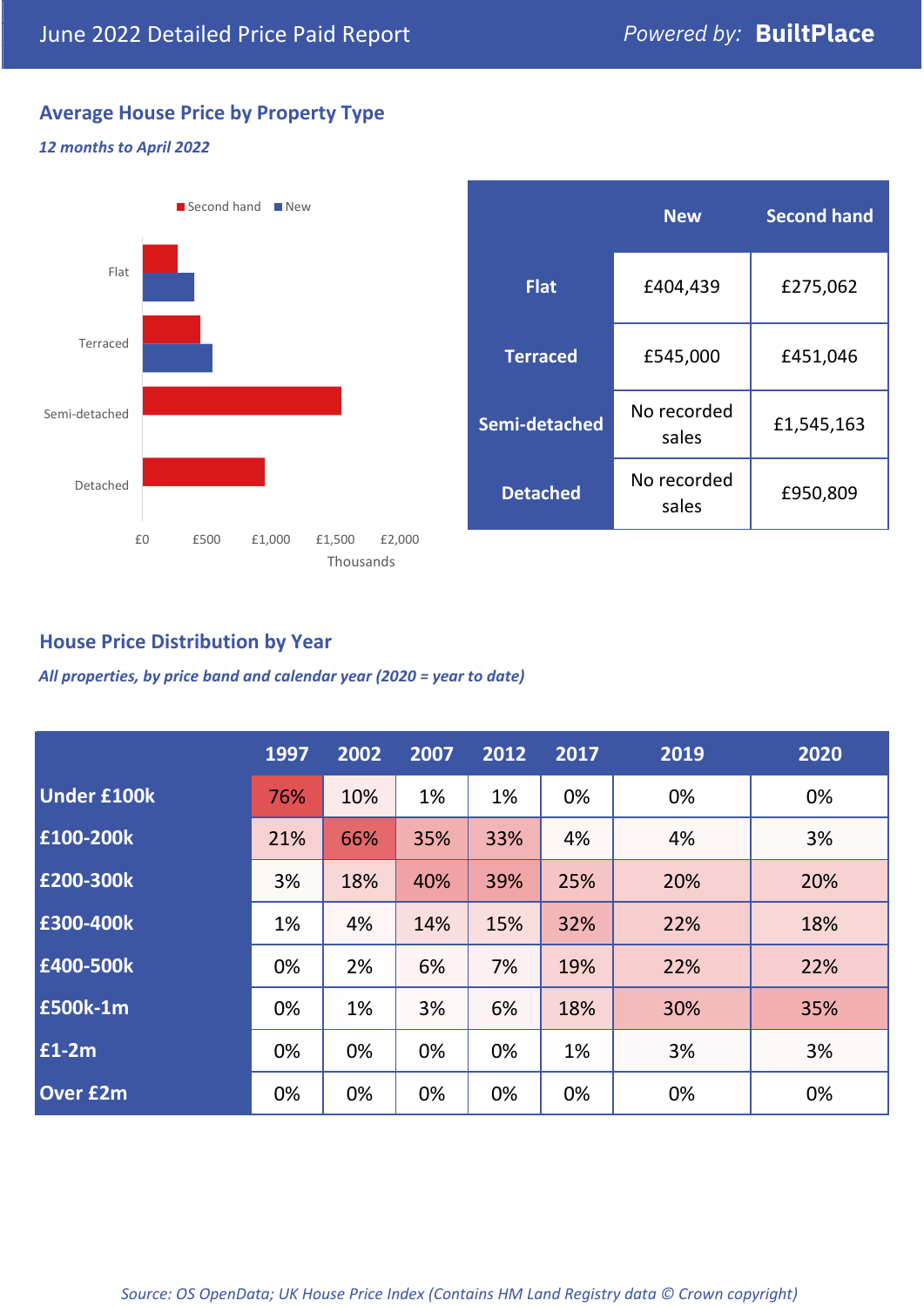# **Average House Price by Property Type**

#### *12 months to April 2022*



|                 | <b>New</b>           | <b>Second hand</b> |  |
|-----------------|----------------------|--------------------|--|
| <b>Flat</b>     | £404,439             | £275,062           |  |
| <b>Terraced</b> | £545,000             | £451,046           |  |
| Semi-detached   | No recorded<br>sales | £1,545,163         |  |
| <b>Detached</b> | No recorded<br>sales | £950,809           |  |

## **House Price Distribution by Year**

*All properties, by price band and calendar year (2020 = year to date)*

|                    | 1997 | 2002 | 2007 | 2012 | 2017 | 2019 | 2020 |
|--------------------|------|------|------|------|------|------|------|
| <b>Under £100k</b> | 76%  | 10%  | 1%   | 1%   | 0%   | 0%   | 0%   |
| £100-200k          | 21%  | 66%  | 35%  | 33%  | 4%   | 4%   | 3%   |
| E200-300k          | 3%   | 18%  | 40%  | 39%  | 25%  | 20%  | 20%  |
| £300-400k          | 1%   | 4%   | 14%  | 15%  | 32%  | 22%  | 18%  |
| £400-500k          | 0%   | 2%   | 6%   | 7%   | 19%  | 22%  | 22%  |
| <b>£500k-1m</b>    | 0%   | 1%   | 3%   | 6%   | 18%  | 30%  | 35%  |
| £1-2m              | 0%   | 0%   | 0%   | 0%   | 1%   | 3%   | 3%   |
| <b>Over £2m</b>    | 0%   | 0%   | 0%   | 0%   | 0%   | 0%   | 0%   |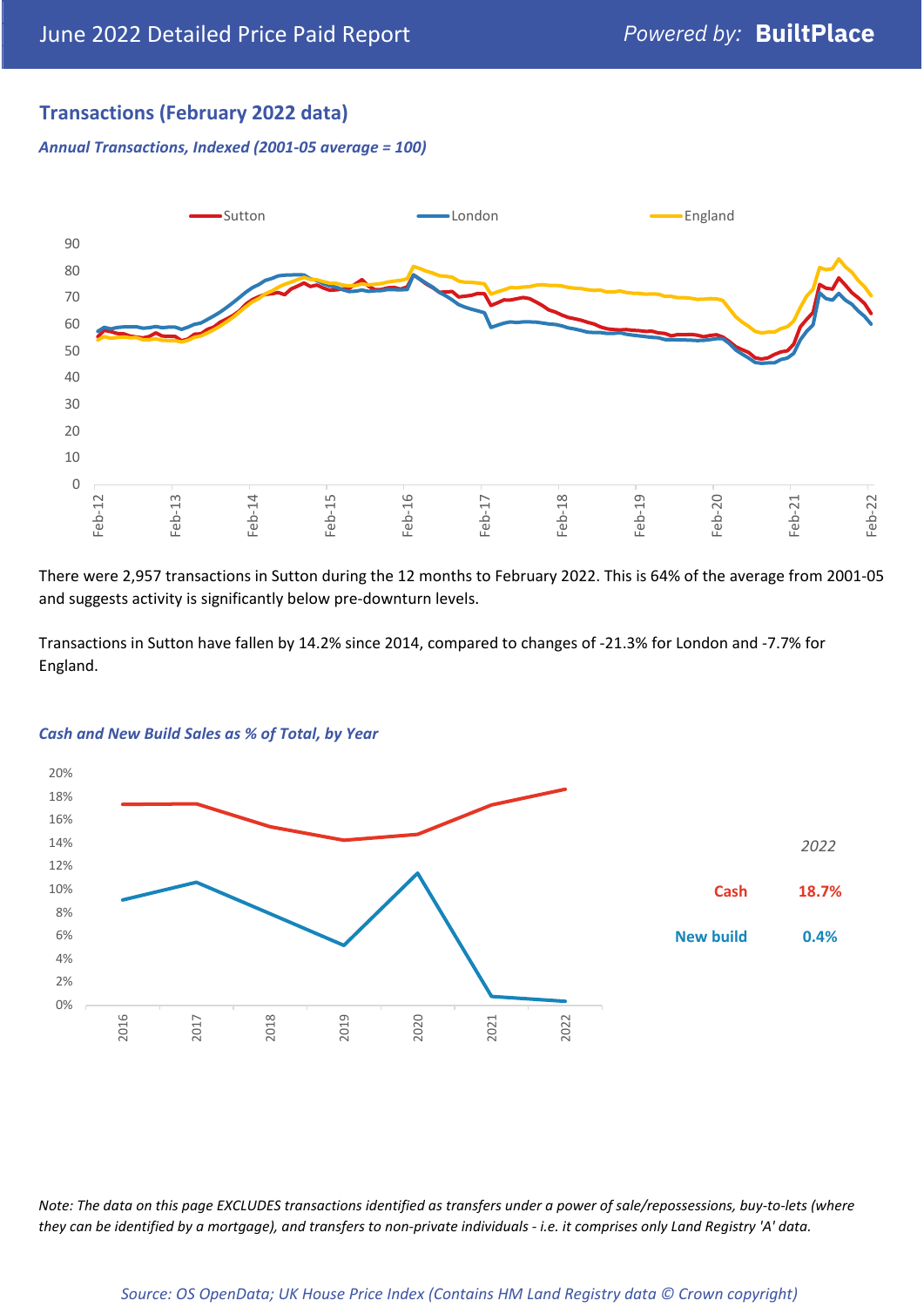# **Transactions (February 2022 data)**

*Annual Transactions, Indexed (2001-05 average = 100)*



There were 2,957 transactions in Sutton during the 12 months to February 2022. This is 64% of the average from 2001-05 and suggests activity is significantly below pre-downturn levels.

Transactions in Sutton have fallen by 14.2% since 2014, compared to changes of -21.3% for London and -7.7% for England.



#### *Cash and New Build Sales as % of Total, by Year*

*Note: The data on this page EXCLUDES transactions identified as transfers under a power of sale/repossessions, buy-to-lets (where they can be identified by a mortgage), and transfers to non-private individuals - i.e. it comprises only Land Registry 'A' data.*